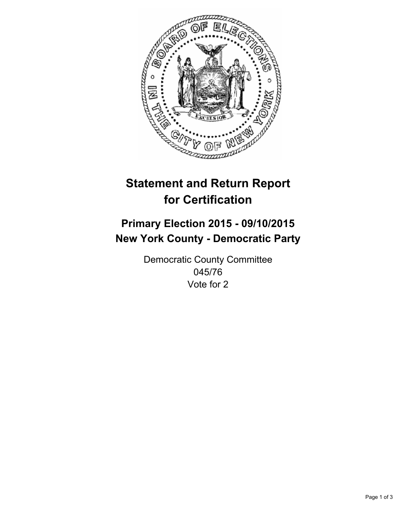

# **Statement and Return Report for Certification**

# **Primary Election 2015 - 09/10/2015 New York County - Democratic Party**

Democratic County Committee 045/76 Vote for 2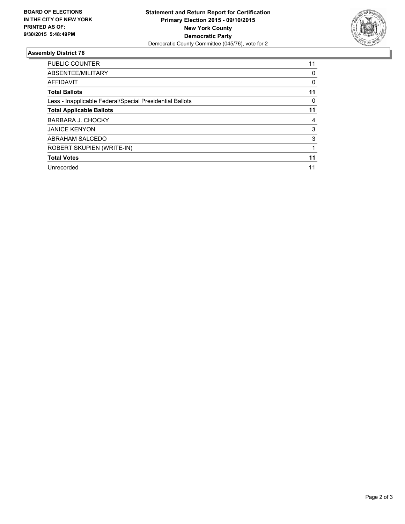

## **Assembly District 76**

| <b>PUBLIC COUNTER</b>                                    | 11 |
|----------------------------------------------------------|----|
| ABSENTEE/MILITARY                                        | 0  |
| <b>AFFIDAVIT</b>                                         | 0  |
| <b>Total Ballots</b>                                     | 11 |
| Less - Inapplicable Federal/Special Presidential Ballots | 0  |
| <b>Total Applicable Ballots</b>                          | 11 |
| BARBARA J. CHOCKY                                        | 4  |
| <b>JANICE KENYON</b>                                     | 3  |
| ABRAHAM SALCEDO                                          | 3  |
| <b>ROBERT SKUPIEN (WRITE-IN)</b>                         |    |
| <b>Total Votes</b>                                       | 11 |
| Unrecorded                                               | 11 |